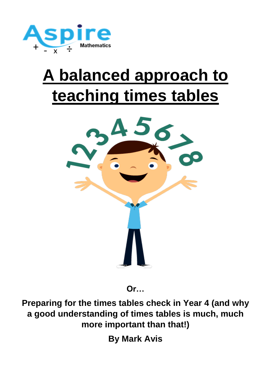

# **A balanced approach to teaching times tables**



**Or…**

**Preparing for the times tables check in Year 4 (and why a good understanding of times tables is much, much more important than that!)**

**By Mark Avis**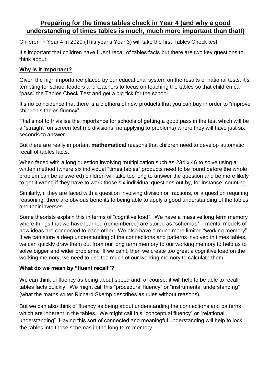# **Preparing for the times tables check in Year 4 (and why a good understanding of times tables is much, much more important than that!)**

Children in Year 4 in 2020 (This year's Year 3) will take the first Tables Check test.

It's important that children have fluent recall of tables facts but there are two key questions to think about:

# **Why is it important?**

Given the high importance placed by our educational system on the results of national tests, it's tempting for school leaders and teachers to focus on teaching the tables so that children can "pass" the Tables Check Test and get a big tick for the school.

It's no coincidence that there is a plethora of new products that you can buy in order to "improve children's tables fluency".

That's not to trivialise the importance for schools of getting a good pass in the test which will be a "straight" on screen test (no divisions, no applying to problems) where they will have just six seconds to answer

But there are really important **mathematical** reasons that children need to develop automatic recall of tables facts.

When faced with a long question involving multiplication such as 234 x 46 to solve using a written method (where six individual "times tables" products need to be found before the whole problem can be answered) children will take too long to answer the question and be more likely to get it wrong if they have to work those six individual questions out by, for instance, counting.

Similarly, if they are faced with a question involving division or fractions, or a question requiring reasoning, there are obvious benefits to being able to apply a good understanding of the tables and their inverses.

Some theorists explain this in terms of "cognitive load". We have a massive long term memory where things that we have learned (remembered) are stored as "schemas" – mental models of how ideas are connected to each other. We also have a much more limited "working memory". If we can store a deep understanding of the connections and patterns involved in times tables, we can quickly draw them out from our long term memory to our working memory to help us to solve bigger and wider problems. If we can't, then we create too great a cognitive load on the working memory, we need to use too much of our working memory to calculate them.

## **What do we mean by "fluent recall"?**

We can think of fluency as being about speed and, of course, it will help to be able to recall tables facts quickly. We might call this "procedural fluency" or "instrumental understanding" (what the maths writer Richard Skemp describes as rules without reasons).

But we can also think of fluency as being about understanding the connections and patterns which are inherent in the tables. We might call this "conceptual fluency" or "relational understanding". Having this sort of connected and meaningful understanding will help to lock the tables into those schemas in the long term memory.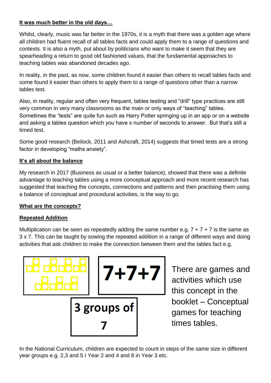# **It was much better in the old days…**

Whilst, clearly, music was far better in the 1970s, it is a myth that there was a golden age where all children had fluent recall of all tables facts and could apply them to a range of questions and contexts. It is also a myth, put about by politicians who want to make it seem that they are spearheading a return to good old fashioned values, that the fundamental approaches to teaching tables was abandoned decades ago.

In reality, in the past, as now, some children found it easier than others to recall tables facts and some found it easier than others to apply them to a range of questions other than a narrow tables test.

Also, in reality, regular and often very frequent, tables testing and "drill" type practices are still very common in very many classrooms as the main or only ways of "teaching" tables. Sometimes the "tests" are quite fun such as Harry Potter springing up in an app or on a website and asking a tables question which you have x number of seconds to answer. But that's still a timed test.

Some good research (Beilock, 2011 and Ashcraft, 2014) suggests that timed tests are a strong factor in developing "maths anxiety".

# **It's all about the balance**

My research in 2017 (Business as usual or a better balance), showed that there was a definite advantage to teaching tables using a more conceptual approach and more recent research has suggested that teaching the concepts, connections and patterns and then practising them using a balance of conceptual and procedural activities, is the way to go.

## **What are the concepts?**

## **Repeated Addition**

Multiplication can be seen as repeatedly adding the same number e.g.  $7 + 7 + 7$  is the same as 3 x 7. This can be taught by sowing the repeated addition in a range of different ways and doing activities that ask children to make the connection between them and the tables fact e.g.



There are games and activities which use this concept in the booklet – Conceptual games for teaching times tables.

In the National Curriculum, children are expected to count in steps of the same size in different year groups e.g. 2,3 and 5 I Year 2 and 4 and 8 in Year 3 etc.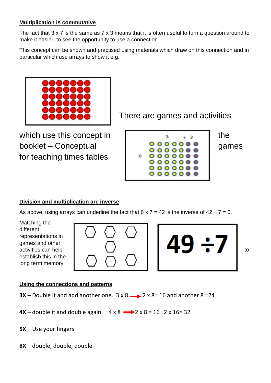# **Multiplication is commutative**

The fact that 3 x 7 is the same as 7 x 3 means that it is often useful to turn a question around to make it easier, to see the opportunity to use a connection.

This concept can be shown and practised using materials which draw on this connection and in particular which use arrays to show it e.g.



There are games and activities

for teaching times tables



# **Division and multiplication are inverse**

As above, using arrays can underline the fact that  $6 \times 7 = 42$  is the inverse of  $42 \div 7 = 6$ .

Matching the different representations in games and other establish this in the long term memory.



## **Using the connections and patterns**

- **3X** Double it and add another one.  $3 \times 8$   $\rightarrow$  2 x 8= 16 and another 8 = 24
- **4X** double it and double again.  $4 \times 8$  2  $\times 8 = 16$  2  $\times 16 = 32$
- **5X**  Use your fingers
- **8X** double, double, double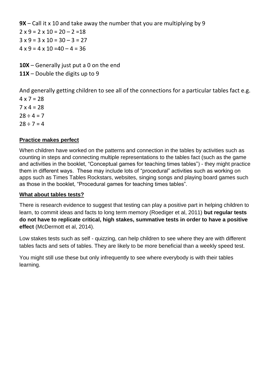**9X** – Call it x 10 and take away the number that you are multiplying by 9  $2 \times 9 = 2 \times 10 = 20 - 2 = 18$  $3 \times 9 = 3 \times 10 = 30 - 3 = 27$  $4 \times 9 = 4 \times 10 = 40 - 4 = 36$ 

**10X** – Generally just put a 0 on the end **11X** – Double the digits up to 9

And generally getting children to see all of the connections for a particular tables fact e.g.

 $4 \times 7 = 28$  $7 \times 4 = 28$  $28 \div 4 = 7$  $28 \div 7 = 4$ 

# **Practice makes perfect**

When children have worked on the patterns and connection in the tables by activities such as counting in steps and connecting multiple representations to the tables fact (such as the game and activities in the booklet, "Conceptual games for teaching times tables") - they might practice them in different ways. These may include lots of "procedural" activities such as working on apps such as Times Tables Rockstars, websites, singing songs and playing board games such as those in the booklet, "Procedural games for teaching times tables".

#### **What about tables tests?**

There is research evidence to suggest that testing can play a positive part in helping children to learn, to commit ideas and facts to long term memory (Roediger et al, 2011) **but regular tests do not have to replicate critical, high stakes, summative tests in order to have a positive effect** (McDermott et al, 2014).

Low stakes tests such as self - quizzing, can help children to see where they are with different tables facts and sets of tables. They are likely to be more beneficial than a weekly speed test.

You might still use these but only infrequently to see where everybody is with their tables learning.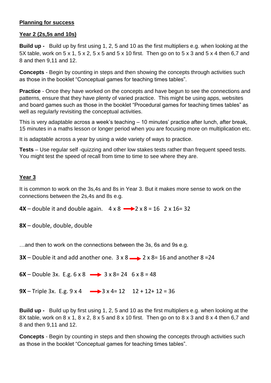#### **Planning for success**

#### **Year 2 (2s,5s and 10s)**

**Build up -** Build up by first using 1, 2, 5 and 10 as the first multipliers e.g. when looking at the 5X table, work on 5 x 1, 5 x 2, 5 x 5 and 5 x 10 first. Then go on to 5 x 3 and 5 x 4 then 6,7 and 8 and then 9,11 and 12.

**Concepts** - Begin by counting in steps and then showing the concepts through activities such as those in the booklet "Conceptual games for teaching times tables".

**Practice** - Once they have worked on the concepts and have begun to see the connections and patterns, ensure that they have plenty of varied practice. This might be using apps, websites and board games such as those in the booklet "Procedural games for teaching times tables" as well as regularly revisiting the conceptual activities.

This is very adaptable across a week's teaching – 10 minutes' practice after lunch, after break, 15 minutes in a maths lesson or longer period when you are focusing more on multiplication etc.

It is adaptable across a year by using a wide variety of ways to practice.

**Tests** – Use regular self -quizzing and other low stakes tests rather than frequent speed tests. You might test the speed of recall from time to time to see where they are.

## **Year 3**

It is common to work on the 3s,4s and 8s in Year 3. But it makes more sense to work on the connections between the 2s,4s and 8s e.g.

**4X** – double it and double again.  $4 \times 8$  – 2  $\times 8 = 16$  2  $\times 16 = 32$ 

**8X** – double, double, double

…and then to work on the connections between the 3s, 6s and 9s e.g.

**3X** – Double it and add another one.  $3 \times 8$   $\rightarrow$  2 x 8= 16 and another 8 = 24

**6X** – Double 3x. E.g.  $6 \times 8$   $\longrightarrow$  3  $\times 8 = 24$   $6 \times 8 = 48$ 

**9X** – Triple 3x. E.g.  $9 \times 4$   $\longrightarrow 3 \times 4 = 12$   $12 + 12 + 12 = 36$ 

**Build up -** Build up by first using 1, 2, 5 and 10 as the first multipliers e.g. when looking at the 8X table, work on 8 x 1, 8 x 2, 8 x 5 and 8 x 10 first. Then go on to 8 x 3 and 8 x 4 then 6,7 and 8 and then 9,11 and 12.

**Concepts** - Begin by counting in steps and then showing the concepts through activities such as those in the booklet "Conceptual games for teaching times tables".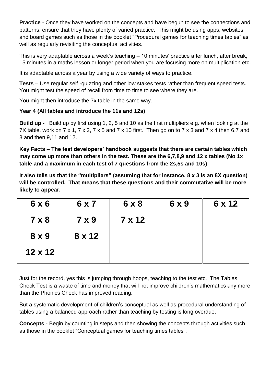**Practice** - Once they have worked on the concepts and have begun to see the connections and patterns, ensure that they have plenty of varied practice. This might be using apps, websites and board games such as those in the booklet "Procedural games for teaching times tables" as well as regularly revisiting the conceptual activities.

This is very adaptable across a week's teaching – 10 minutes' practice after lunch, after break, 15 minutes in a maths lesson or longer period when you are focusing more on multiplication etc.

It is adaptable across a year by using a wide variety of ways to practice.

**Tests** – Use regular self -quizzing and other low stakes tests rather than frequent speed tests. You might test the speed of recall from time to time to see where they are.

You might then introduce the 7x table in the same way.

# **Year 4 (All tables and introduce the 11s and 12s)**

**Build up -** Build up by first using 1, 2, 5 and 10 as the first multipliers e.g. when looking at the 7X table, work on 7 x 1, 7 x 2, 7 x 5 and 7 x 10 first. Then go on to 7 x 3 and 7 x 4 then 6,7 and 8 and then 9,11 and 12.

**Key Facts – The test developers' handbook suggests that there are certain tables which may come up more than others in the test. These are the 6,7,8,9 and 12 x tables (No 1x table and a maximum in each test of 7 questions from the 2s,5s and 10s)** 

**It also tells us that the "multipliers" (assuming that for instance, 8 x 3 is an 8X question) will be controlled. That means that these questions and their commutative will be more likely to appear.** 

| 6x6            | 6x7           | $6 \times 8$  | 6 x 9 | 6 x 12 |
|----------------|---------------|---------------|-------|--------|
| $7 \times 8$   | $7 \times 9$  | $7 \times 12$ |       |        |
| 8 x 9          | $8 \times 12$ |               |       |        |
| $12 \times 12$ |               |               |       |        |

Just for the record, yes this is jumping through hoops, teaching to the test etc. The Tables Check Test is a waste of time and money that will not improve children's mathematics any more than the Phonics Check has improved reading.

But a systematic development of children's conceptual as well as procedural understanding of tables using a balanced approach rather than teaching by testing is long overdue.

**Concepts** - Begin by counting in steps and then showing the concepts through activities such as those in the booklet "Conceptual games for teaching times tables".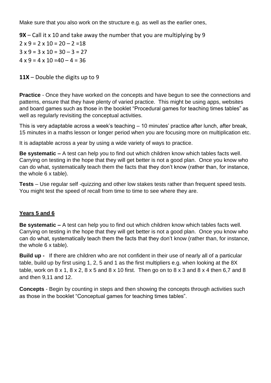Make sure that you also work on the structure e.g. as well as the earlier ones,

**9X** – Call it x 10 and take away the number that you are multiplying by 9  $2 \times 9 = 2 \times 10 = 20 - 2 = 18$  $3 \times 9 = 3 \times 10 = 30 - 3 = 27$  $4 \times 9 = 4 \times 10 = 40 - 4 = 36$ 

**11X** – Double the digits up to 9

**Practice** - Once they have worked on the concepts and have begun to see the connections and patterns, ensure that they have plenty of varied practice. This might be using apps, websites and board games such as those in the booklet "Procedural games for teaching times tables" as well as regularly revisiting the conceptual activities.

This is very adaptable across a week's teaching – 10 minutes' practice after lunch, after break, 15 minutes in a maths lesson or longer period when you are focusing more on multiplication etc.

It is adaptable across a year by using a wide variety of ways to practice.

**Be systematic –** A test can help you to find out which children know which tables facts well. Carrying on testing in the hope that they will get better is not a good plan. Once you know who can do what, systematically teach them the facts that they don't know (rather than, for instance, the whole 6 x table).

**Tests** – Use regular self -quizzing and other low stakes tests rather than frequent speed tests. You might test the speed of recall from time to time to see where they are.

## **Years 5 and 6**

**Be systematic –** A test can help you to find out which children know which tables facts well. Carrying on testing in the hope that they will get better is not a good plan. Once you know who can do what, systematically teach them the facts that they don't know (rather than, for instance, the whole 6 x table).

**Build up -** If there are children who are not confident in their use of nearly all of a particular table, build up by first using 1, 2, 5 and 1 as the first multipliers e.g. when looking at the 8X table, work on  $8 \times 1$ ,  $8 \times 2$ ,  $8 \times 5$  and  $8 \times 10$  first. Then go on to  $8 \times 3$  and  $8 \times 4$  then 6,7 and 8 and then 9,11 and 12.

**Concepts** - Begin by counting in steps and then showing the concepts through activities such as those in the booklet "Conceptual games for teaching times tables".